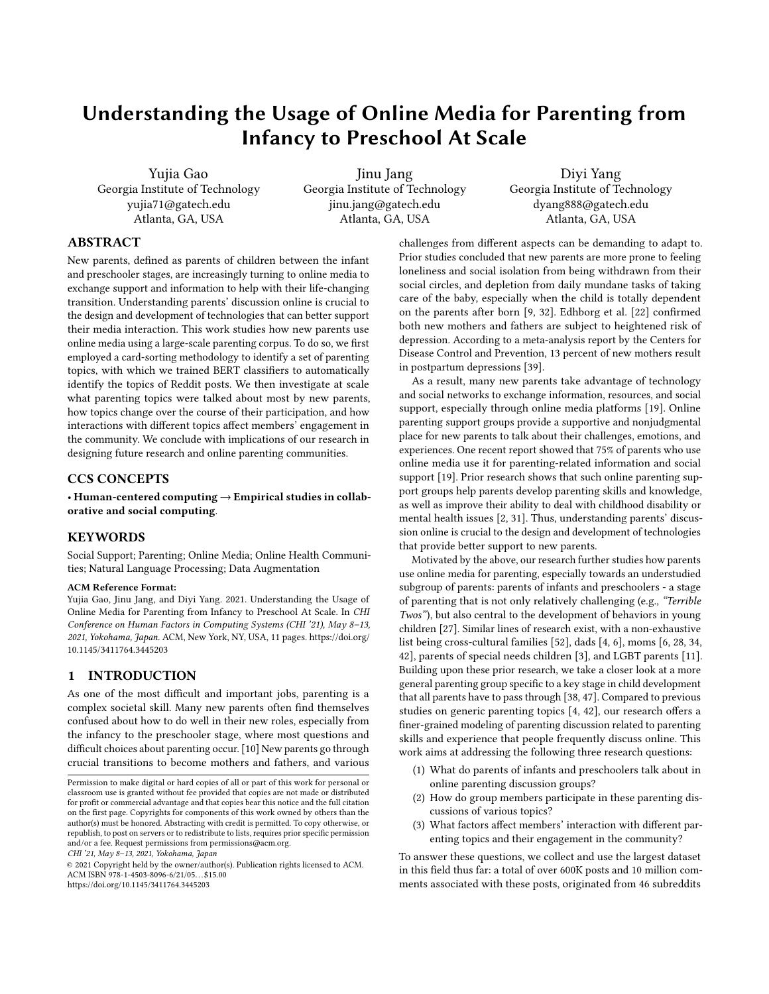# <span id="page-0-0"></span>Understanding the Usage of Online Media for Parenting from Infancy to Preschool At Scale

Yujia Gao Georgia Institute of Technology yujia71@gatech.edu Atlanta, GA, USA

Jinu Jang Georgia Institute of Technology jinu.jang@gatech.edu Atlanta, GA, USA

Diyi Yang Georgia Institute of Technology dyang888@gatech.edu Atlanta, GA, USA

## ABSTRACT

New parents, defined as parents of children between the infant and preschooler stages, are increasingly turning to online media to exchange support and information to help with their life-changing transition. Understanding parents' discussion online is crucial to the design and development of technologies that can better support their media interaction. This work studies how new parents use online media using a large-scale parenting corpus. To do so, we first employed a card-sorting methodology to identify a set of parenting topics, with which we trained BERT classifiers to automatically identify the topics of Reddit posts. We then investigate at scale what parenting topics were talked about most by new parents, how topics change over the course of their participation, and how interactions with different topics affect members' engagement in the community. We conclude with implications of our research in designing future research and online parenting communities.

#### CCS CONCEPTS

• Human-centered computing  $\rightarrow$  Empirical studies in collaborative and social computing.

## **KEYWORDS**

Social Support; Parenting; Online Media; Online Health Communities; Natural Language Processing; Data Augmentation

#### ACM Reference Format:

Yujia Gao, Jinu Jang, and Diyi Yang. 2021. Understanding the Usage of Online Media for Parenting from Infancy to Preschool At Scale. In CHI Conference on Human Factors in Computing Systems (CHI '21), May 8–13, 2021, Yokohama, Japan. ACM, New York, NY, USA, [11](#page-10-0) pages. [https://doi.org/](https://doi.org/10.1145/3411764.3445203) [10.1145/3411764.3445203](https://doi.org/10.1145/3411764.3445203)

## 1 INTRODUCTION

As one of the most difficult and important jobs, parenting is a complex societal skill. Many new parents often find themselves confused about how to do well in their new roles, especially from the infancy to the preschooler stage, where most questions and difficult choices about parenting occur. [\[10\]](#page-10-1) New parents go through crucial transitions to become mothers and fathers, and various

CHI '21, May 8–13, 2021, Yokohama, Japan

© 2021 Copyright held by the owner/author(s). Publication rights licensed to ACM. ACM ISBN 978-1-4503-8096-6/21/05. . . \$15.00 <https://doi.org/10.1145/3411764.3445203>

challenges from different aspects can be demanding to adapt to. Prior studies concluded that new parents are more prone to feeling loneliness and social isolation from being withdrawn from their social circles, and depletion from daily mundane tasks of taking care of the baby, especially when the child is totally dependent on the parents after born [\[9,](#page-10-2) [32\]](#page-10-3). Edhborg et al. [\[22\]](#page-10-4) confirmed both new mothers and fathers are subject to heightened risk of depression. According to a meta-analysis report by the Centers for Disease Control and Prevention, 13 percent of new mothers result in postpartum depressions [\[39\]](#page-10-5).

As a result, many new parents take advantage of technology and social networks to exchange information, resources, and social support, especially through online media platforms [\[19\]](#page-10-6). Online parenting support groups provide a supportive and nonjudgmental place for new parents to talk about their challenges, emotions, and experiences. One recent report showed that 75% of parents who use online media use it for parenting-related information and social support [\[19\]](#page-10-6). Prior research shows that such online parenting support groups help parents develop parenting skills and knowledge, as well as improve their ability to deal with childhood disability or mental health issues [\[2,](#page-9-0) [31\]](#page-10-7). Thus, understanding parents' discussion online is crucial to the design and development of technologies that provide better support to new parents.

Motivated by the above, our research further studies how parents use online media for parenting, especially towards an understudied subgroup of parents: parents of infants and preschoolers - a stage of parenting that is not only relatively challenging (e.g., "Terrible Twos"), but also central to the development of behaviors in young children [\[27\]](#page-10-8). Similar lines of research exist, with a non-exhaustive list being cross-cultural families [\[52\]](#page-10-9), dads [\[4,](#page-10-10) [6\]](#page-10-11), moms [\[6,](#page-10-11) [28,](#page-10-12) [34,](#page-10-13) [42\]](#page-10-14), parents of special needs children [\[3\]](#page-9-1), and LGBT parents [\[11\]](#page-10-15). Building upon these prior research, we take a closer look at a more general parenting group specific to a key stage in child development that all parents have to pass through [\[38,](#page-10-16) [47\]](#page-10-17). Compared to previous studies on generic parenting topics [\[4,](#page-10-10) [42\]](#page-10-14), our research offers a finer-grained modeling of parenting discussion related to parenting skills and experience that people frequently discuss online. This work aims at addressing the following three research questions:

- (1) What do parents of infants and preschoolers talk about in online parenting discussion groups?
- (2) How do group members participate in these parenting discussions of various topics?
- (3) What factors affect members' interaction with different parenting topics and their engagement in the community?

To answer these questions, we collect and use the largest dataset in this field thus far: a total of over 600K posts and 10 million comments associated with these posts, originated from 46 subreddits

Permission to make digital or hard copies of all or part of this work for personal or classroom use is granted without fee provided that copies are not made or distributed for profit or commercial advantage and that copies bear this notice and the full citation on the first page. Copyrights for components of this work owned by others than the author(s) must be honored. Abstracting with credit is permitted. To copy otherwise, or republish, to post on servers or to redistribute to lists, requires prior specific permission and/or a fee. Request permissions from permissions@acm.org.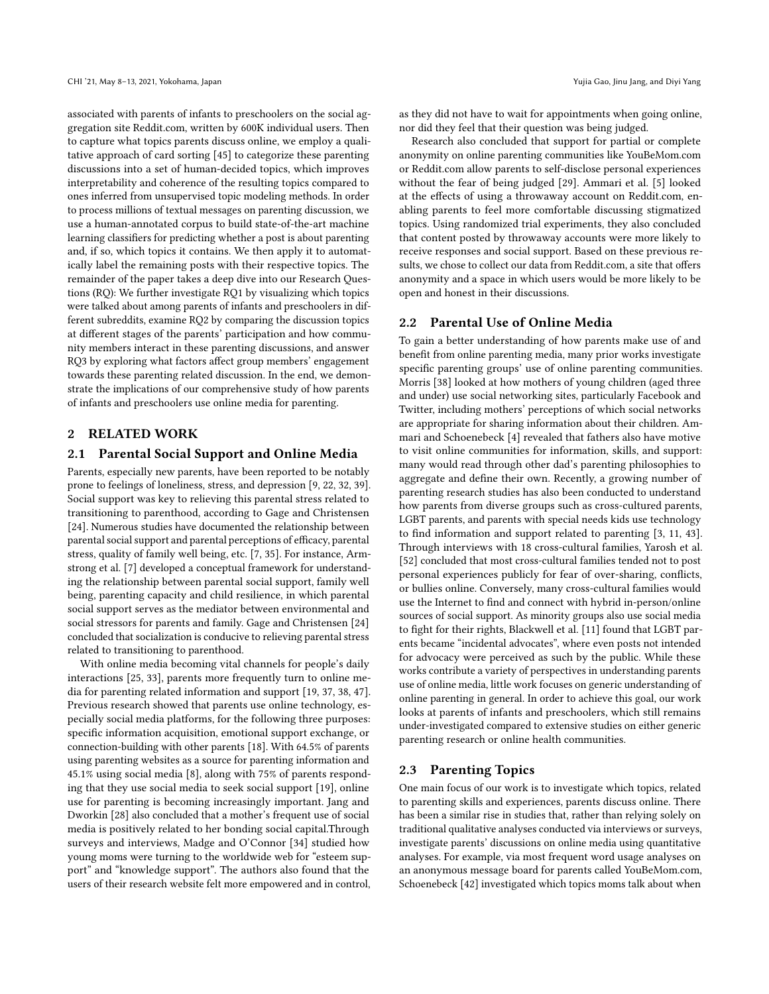associated with parents of infants to preschoolers on the social aggregation site Reddit.com, written by 600K individual users. Then to capture what topics parents discuss online, we employ a qualitative approach of card sorting [\[45\]](#page-10-18) to categorize these parenting discussions into a set of human-decided topics, which improves interpretability and coherence of the resulting topics compared to ones inferred from unsupervised topic modeling methods. In order to process millions of textual messages on parenting discussion, we use a human-annotated corpus to build state-of-the-art machine learning classifiers for predicting whether a post is about parenting and, if so, which topics it contains. We then apply it to automatically label the remaining posts with their respective topics. The remainder of the paper takes a deep dive into our Research Questions (RQ): We further investigate RQ1 by visualizing which topics were talked about among parents of infants and preschoolers in different subreddits, examine RQ2 by comparing the discussion topics at different stages of the parents' participation and how community members interact in these parenting discussions, and answer RQ3 by exploring what factors affect group members' engagement towards these parenting related discussion. In the end, we demonstrate the implications of our comprehensive study of how parents of infants and preschoolers use online media for parenting.

## 2 RELATED WORK

## 2.1 Parental Social Support and Online Media

Parents, especially new parents, have been reported to be notably prone to feelings of loneliness, stress, and depression [\[9,](#page-10-2) [22,](#page-10-4) [32,](#page-10-3) [39\]](#page-10-5). Social support was key to relieving this parental stress related to transitioning to parenthood, according to Gage and Christensen [\[24\]](#page-10-19). Numerous studies have documented the relationship between parental social support and parental perceptions of efficacy, parental stress, quality of family well being, etc. [\[7,](#page-10-20) [35\]](#page-10-21). For instance, Armstrong et al. [\[7\]](#page-10-20) developed a conceptual framework for understanding the relationship between parental social support, family well being, parenting capacity and child resilience, in which parental social support serves as the mediator between environmental and social stressors for parents and family. Gage and Christensen [\[24\]](#page-10-19) concluded that socialization is conducive to relieving parental stress related to transitioning to parenthood.

With online media becoming vital channels for people's daily interactions [\[25,](#page-10-22) [33\]](#page-10-23), parents more frequently turn to online media for parenting related information and support [\[19,](#page-10-6) [37,](#page-10-24) [38,](#page-10-16) [47\]](#page-10-17). Previous research showed that parents use online technology, especially social media platforms, for the following three purposes: specific information acquisition, emotional support exchange, or connection-building with other parents [\[18\]](#page-10-25). With 64.5% of parents using parenting websites as a source for parenting information and 45.1% using social media [\[8\]](#page-10-26), along with 75% of parents responding that they use social media to seek social support [\[19\]](#page-10-6), online use for parenting is becoming increasingly important. Jang and Dworkin [\[28\]](#page-10-12) also concluded that a mother's frequent use of social media is positively related to her bonding social capital.Through surveys and interviews, Madge and O'Connor [\[34\]](#page-10-13) studied how young moms were turning to the worldwide web for "esteem support" and "knowledge support". The authors also found that the users of their research website felt more empowered and in control,

as they did not have to wait for appointments when going online, nor did they feel that their question was being judged.

Research also concluded that support for partial or complete anonymity on online parenting communities like YouBeMom.com or Reddit.com allow parents to self-disclose personal experiences without the fear of being judged [\[29\]](#page-10-27). Ammari et al. [\[5\]](#page-10-28) looked at the effects of using a throwaway account on Reddit.com, enabling parents to feel more comfortable discussing stigmatized topics. Using randomized trial experiments, they also concluded that content posted by throwaway accounts were more likely to receive responses and social support. Based on these previous results, we chose to collect our data from Reddit.com, a site that offers anonymity and a space in which users would be more likely to be open and honest in their discussions.

## 2.2 Parental Use of Online Media

To gain a better understanding of how parents make use of and benefit from online parenting media, many prior works investigate specific parenting groups' use of online parenting communities. Morris [\[38\]](#page-10-16) looked at how mothers of young children (aged three and under) use social networking sites, particularly Facebook and Twitter, including mothers' perceptions of which social networks are appropriate for sharing information about their children. Ammari and Schoenebeck [\[4\]](#page-10-10) revealed that fathers also have motive to visit online communities for information, skills, and support: many would read through other dad's parenting philosophies to aggregate and define their own. Recently, a growing number of parenting research studies has also been conducted to understand how parents from diverse groups such as cross-cultured parents, LGBT parents, and parents with special needs kids use technology to find information and support related to parenting [\[3,](#page-9-1) [11,](#page-10-15) [43\]](#page-10-29). Through interviews with 18 cross-cultural families, Yarosh et al. [\[52\]](#page-10-9) concluded that most cross-cultural families tended not to post personal experiences publicly for fear of over-sharing, conflicts, or bullies online. Conversely, many cross-cultural families would use the Internet to find and connect with hybrid in-person/online sources of social support. As minority groups also use social media to fight for their rights, Blackwell et al. [\[11\]](#page-10-15) found that LGBT parents became "incidental advocates", where even posts not intended for advocacy were perceived as such by the public. While these works contribute a variety of perspectives in understanding parents use of online media, little work focuses on generic understanding of online parenting in general. In order to achieve this goal, our work looks at parents of infants and preschoolers, which still remains under-investigated compared to extensive studies on either generic parenting research or online health communities.

#### 2.3 Parenting Topics

One main focus of our work is to investigate which topics, related to parenting skills and experiences, parents discuss online. There has been a similar rise in studies that, rather than relying solely on traditional qualitative analyses conducted via interviews or surveys, investigate parents' discussions on online media using quantitative analyses. For example, via most frequent word usage analyses on an anonymous message board for parents called YouBeMom.com, Schoenebeck [\[42\]](#page-10-14) investigated which topics moms talk about when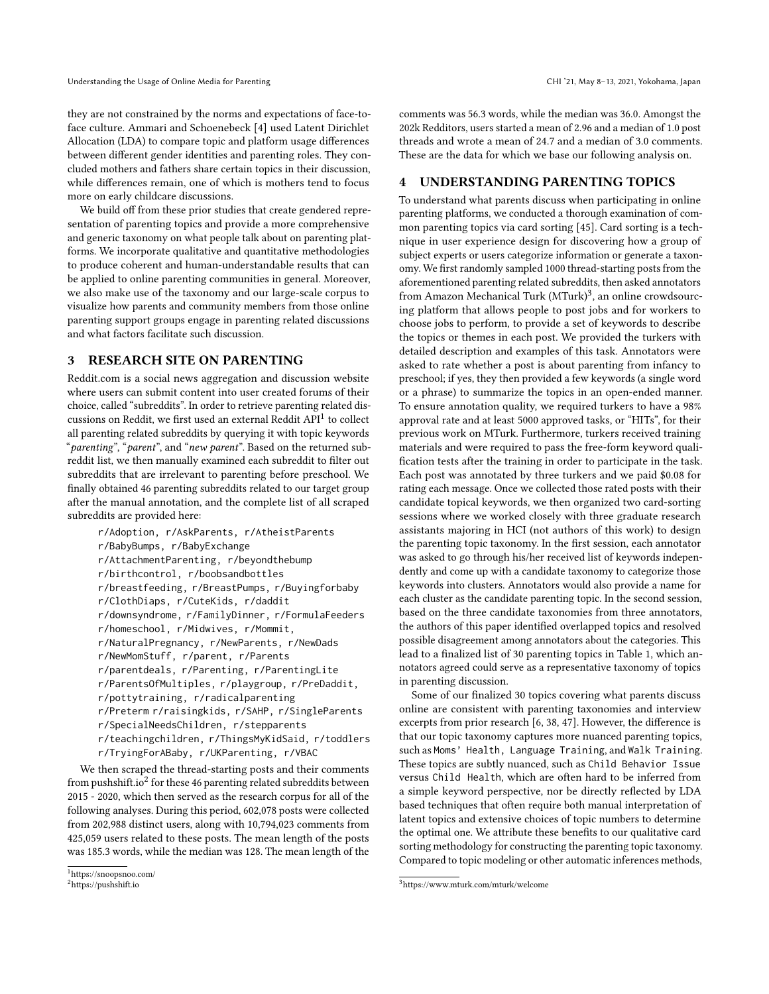they are not constrained by the norms and expectations of face-toface culture. Ammari and Schoenebeck [\[4\]](#page-10-10) used Latent Dirichlet Allocation (LDA) to compare topic and platform usage differences between different gender identities and parenting roles. They concluded mothers and fathers share certain topics in their discussion, while differences remain, one of which is mothers tend to focus more on early childcare discussions.

We build off from these prior studies that create gendered representation of parenting topics and provide a more comprehensive and generic taxonomy on what people talk about on parenting platforms. We incorporate qualitative and quantitative methodologies to produce coherent and human-understandable results that can be applied to online parenting communities in general. Moreover, we also make use of the taxonomy and our large-scale corpus to visualize how parents and community members from those online parenting support groups engage in parenting related discussions and what factors facilitate such discussion.

## 3 RESEARCH SITE ON PARENTING

Reddit.com is a social news aggregation and discussion website where users can submit content into user created forums of their choice, called "subreddits". In order to retrieve parenting related discussions on Reddit, we first used an external Reddit  $\mathrm{API}^1$  $\mathrm{API}^1$  to collect all parenting related subreddits by querying it with topic keywords "parenting", "parent", and "new parent". Based on the returned subreddit list, we then manually examined each subreddit to filter out subreddits that are irrelevant to parenting before preschool. We finally obtained 46 parenting subreddits related to our target group after the manual annotation, and the complete list of all scraped subreddits are provided here:

```
r/Adoption, r/AskParents, r/AtheistParents
r/BabyBumps, r/BabyExchange
r/AttachmentParenting, r/beyondthebump
r/birthcontrol, r/boobsandbottles
r/breastfeeding, r/BreastPumps, r/Buyingforbaby
r/ClothDiaps, r/CuteKids, r/daddit
r/downsyndrome, r/FamilyDinner, r/FormulaFeeders
r/homeschool, r/Midwives, r/Mommit,
r/NaturalPregnancy, r/NewParents, r/NewDads
r/NewMomStuff, r/parent, r/Parents
r/parentdeals, r/Parenting, r/ParentingLite
r/ParentsOfMultiples, r/playgroup, r/PreDaddit,
r/pottytraining, r/radicalparenting
r/Preterm r/raisingkids, r/SAHP, r/SingleParents
r/SpecialNeedsChildren, r/stepparents
r/teachingchildren, r/ThingsMyKidSaid, r/toddlers
r/TryingForABaby, r/UKParenting, r/VBAC
```
We then scraped the thread-starting posts and their comments from pushshift.io $^2$  $^2$  for these 46 parenting related subreddits between 2015 - 2020, which then served as the research corpus for all of the following analyses. During this period, 602,078 posts were collected from 202,988 distinct users, along with 10,794,023 comments from 425,059 users related to these posts. The mean length of the posts was 185.3 words, while the median was 128. The mean length of the

comments was 56.3 words, while the median was 36.0. Amongst the 202k Redditors, users started a mean of 2.96 and a median of 1.0 post threads and wrote a mean of 24.7 and a median of 3.0 comments. These are the data for which we base our following analysis on.

#### 4 UNDERSTANDING PARENTING TOPICS

To understand what parents discuss when participating in online parenting platforms, we conducted a thorough examination of common parenting topics via card sorting [\[45\]](#page-10-18). Card sorting is a technique in user experience design for discovering how a group of subject experts or users categorize information or generate a taxonomy. We first randomly sampled 1000 thread-starting posts from the aforementioned parenting related subreddits, then asked annotators from Amazon Mechanical Turk  $(MTurk)^3$  $(MTurk)^3$ , an online crowdsourcing platform that allows people to post jobs and for workers to choose jobs to perform, to provide a set of keywords to describe the topics or themes in each post. We provided the turkers with detailed description and examples of this task. Annotators were asked to rate whether a post is about parenting from infancy to preschool; if yes, they then provided a few keywords (a single word or a phrase) to summarize the topics in an open-ended manner. To ensure annotation quality, we required turkers to have a 98% approval rate and at least 5000 approved tasks, or "HITs", for their previous work on MTurk. Furthermore, turkers received training materials and were required to pass the free-form keyword qualification tests after the training in order to participate in the task. Each post was annotated by three turkers and we paid \$0.08 for rating each message. Once we collected those rated posts with their candidate topical keywords, we then organized two card-sorting sessions where we worked closely with three graduate research assistants majoring in HCI (not authors of this work) to design the parenting topic taxonomy. In the first session, each annotator was asked to go through his/her received list of keywords independently and come up with a candidate taxonomy to categorize those keywords into clusters. Annotators would also provide a name for each cluster as the candidate parenting topic. In the second session, based on the three candidate taxonomies from three annotators, the authors of this paper identified overlapped topics and resolved possible disagreement among annotators about the categories. This lead to a finalized list of 30 parenting topics in Table [1,](#page-3-0) which annotators agreed could serve as a representative taxonomy of topics in parenting discussion.

Some of our finalized 30 topics covering what parents discuss online are consistent with parenting taxonomies and interview excerpts from prior research [\[6,](#page-10-11) [38,](#page-10-16) [47\]](#page-10-17). However, the difference is that our topic taxonomy captures more nuanced parenting topics, such as Moms' Health, Language Training, and Walk Training. These topics are subtly nuanced, such as Child Behavior Issue versus Child Health, which are often hard to be inferred from a simple keyword perspective, nor be directly reflected by LDA based techniques that often require both manual interpretation of latent topics and extensive choices of topic numbers to determine the optimal one. We attribute these benefits to our qualitative card sorting methodology for constructing the parenting topic taxonomy. Compared to topic modeling or other automatic inferences methods,

<sup>1</sup><https://snoopsnoo.com/>

<sup>2</sup><https://pushshift.io>

<sup>3</sup><https://www.mturk.com/mturk/welcome>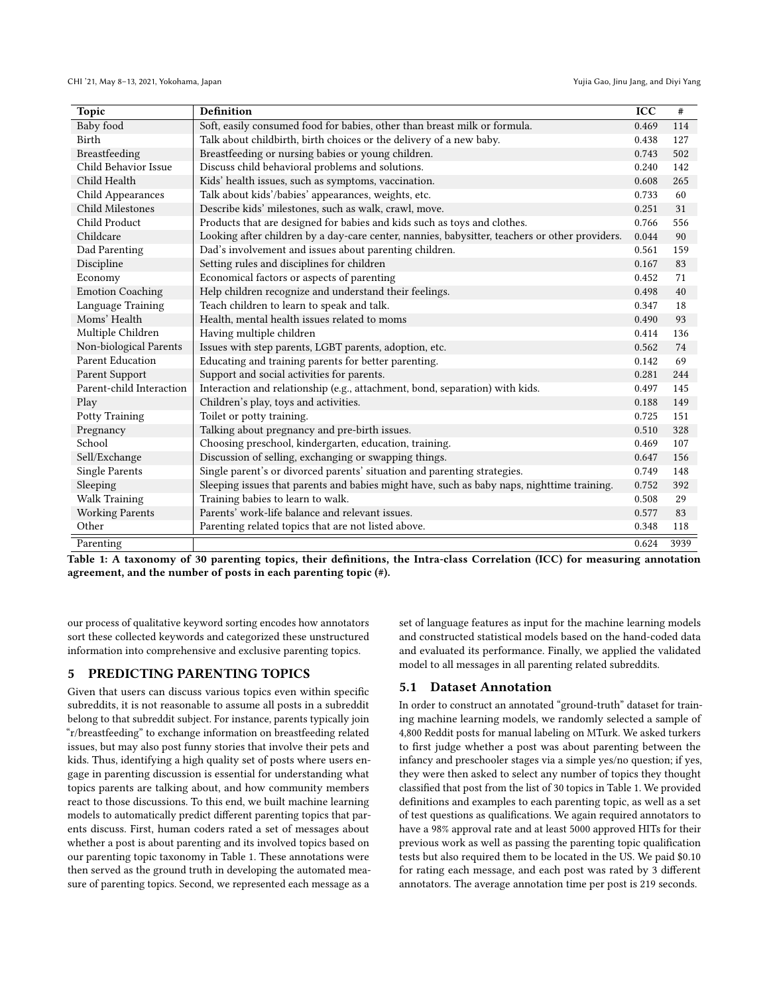<span id="page-3-0"></span>

| <b>Topic</b>             | Definition                                                                                     | <b>ICC</b> | $\#$ |
|--------------------------|------------------------------------------------------------------------------------------------|------------|------|
| Baby food                | Soft, easily consumed food for babies, other than breast milk or formula.                      | 0.469      | 114  |
| Birth                    | Talk about childbirth, birth choices or the delivery of a new baby.                            | 0.438      | 127  |
| Breastfeeding            | Breastfeeding or nursing babies or young children.                                             | 0.743      | 502  |
| Child Behavior Issue     | Discuss child behavioral problems and solutions.                                               | 0.240      | 142  |
| Child Health             | Kids' health issues, such as symptoms, vaccination.                                            | 0.608      | 265  |
| Child Appearances        | Talk about kids'/babies' appearances, weights, etc.                                            | 0.733      | 60   |
| Child Milestones         | Describe kids' milestones, such as walk, crawl, move.                                          | 0.251      | 31   |
| Child Product            | Products that are designed for babies and kids such as toys and clothes.                       | 0.766      | 556  |
| Childcare                | Looking after children by a day-care center, nannies, babysitter, teachers or other providers. | 0.044      | 90   |
| Dad Parenting            | Dad's involvement and issues about parenting children.                                         | 0.561      | 159  |
| Discipline               | Setting rules and disciplines for children                                                     | 0.167      | 83   |
| Economy                  | Economical factors or aspects of parenting                                                     | 0.452      | 71   |
| <b>Emotion Coaching</b>  | Help children recognize and understand their feelings.                                         | 0.498      | 40   |
| Language Training        | Teach children to learn to speak and talk.                                                     | 0.347      | 18   |
| Moms' Health             | Health, mental health issues related to moms                                                   | 0.490      | 93   |
| Multiple Children        | Having multiple children                                                                       | 0.414      | 136  |
| Non-biological Parents   | Issues with step parents, LGBT parents, adoption, etc.                                         | 0.562      | 74   |
| Parent Education         | Educating and training parents for better parenting.                                           | 0.142      | 69   |
| Parent Support           | Support and social activities for parents.                                                     | 0.281      | 244  |
| Parent-child Interaction | Interaction and relationship (e.g., attachment, bond, separation) with kids.                   | 0.497      | 145  |
| Play                     | Children's play, toys and activities.                                                          | 0.188      | 149  |
| Potty Training           | Toilet or potty training.                                                                      | 0.725      | 151  |
| Pregnancy                | Talking about pregnancy and pre-birth issues.                                                  | 0.510      | 328  |
| School                   | Choosing preschool, kindergarten, education, training.                                         | 0.469      | 107  |
| Sell/Exchange            | Discussion of selling, exchanging or swapping things.                                          | 0.647      | 156  |
| Single Parents           | Single parent's or divorced parents' situation and parenting strategies.                       | 0.749      | 148  |
| Sleeping                 | Sleeping issues that parents and babies might have, such as baby naps, nighttime training.     | 0.752      | 392  |
| <b>Walk Training</b>     | Training babies to learn to walk.                                                              | 0.508      | 29   |
| <b>Working Parents</b>   | Parents' work-life balance and relevant issues.                                                | 0.577      | 83   |
| Other                    | Parenting related topics that are not listed above.                                            | 0.348      | 118  |
| Parenting                |                                                                                                | 0.624      | 3939 |

Table 1: A taxonomy of 30 parenting topics, their definitions, the Intra-class Correlation (ICC) for measuring annotation agreement, and the number of posts in each parenting topic (#).

our process of qualitative keyword sorting encodes how annotators sort these collected keywords and categorized these unstructured information into comprehensive and exclusive parenting topics.

## 5 PREDICTING PARENTING TOPICS

Given that users can discuss various topics even within specific subreddits, it is not reasonable to assume all posts in a subreddit belong to that subreddit subject. For instance, parents typically join "r/breastfeeding" to exchange information on breastfeeding related issues, but may also post funny stories that involve their pets and kids. Thus, identifying a high quality set of posts where users engage in parenting discussion is essential for understanding what topics parents are talking about, and how community members react to those discussions. To this end, we built machine learning models to automatically predict different parenting topics that parents discuss. First, human coders rated a set of messages about whether a post is about parenting and its involved topics based on our parenting topic taxonomy in Table [1.](#page-3-0) These annotations were then served as the ground truth in developing the automated measure of parenting topics. Second, we represented each message as a

set of language features as input for the machine learning models and constructed statistical models based on the hand-coded data and evaluated its performance. Finally, we applied the validated model to all messages in all parenting related subreddits.

#### 5.1 Dataset Annotation

In order to construct an annotated "ground-truth" dataset for training machine learning models, we randomly selected a sample of 4,800 Reddit posts for manual labeling on MTurk. We asked turkers to first judge whether a post was about parenting between the infancy and preschooler stages via a simple yes/no question; if yes, they were then asked to select any number of topics they thought classified that post from the list of 30 topics in Table [1.](#page-3-0) We provided definitions and examples to each parenting topic, as well as a set of test questions as qualifications. We again required annotators to have a 98% approval rate and at least 5000 approved HITs for their previous work as well as passing the parenting topic qualification tests but also required them to be located in the US. We paid \$0.10 for rating each message, and each post was rated by 3 different annotators. The average annotation time per post is 219 seconds.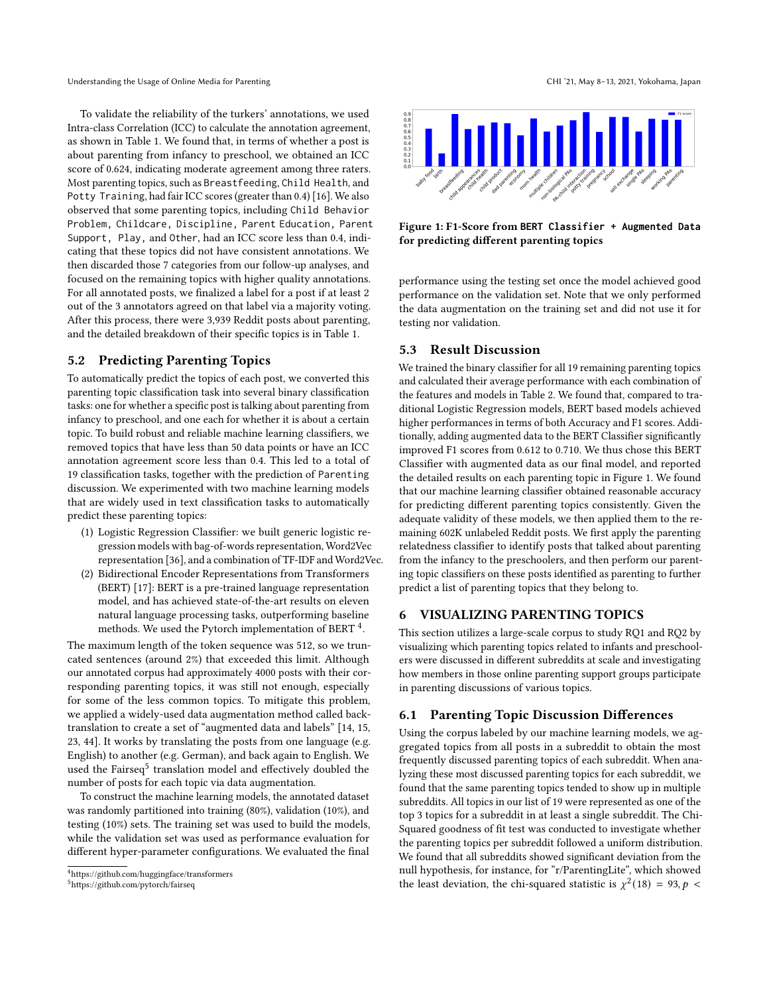To validate the reliability of the turkers' annotations, we used Intra-class Correlation (ICC) to calculate the annotation agreement, as shown in Table [1.](#page-3-0) We found that, in terms of whether a post is about parenting from infancy to preschool, we obtained an ICC score of 0.624, indicating moderate agreement among three raters. Most parenting topics, such as Breastfeeding, Child Health, and Potty Training, had fair ICC scores (greater than 0.4) [\[16\]](#page-10-30). We also observed that some parenting topics, including Child Behavior Problem, Childcare, Discipline, Parent Education, Parent Support, Play, and Other, had an ICC score less than 0.4, indicating that these topics did not have consistent annotations. We then discarded those 7 categories from our follow-up analyses, and focused on the remaining topics with higher quality annotations. For all annotated posts, we finalized a label for a post if at least 2 out of the 3 annotators agreed on that label via a majority voting. After this process, there were 3,939 Reddit posts about parenting, and the detailed breakdown of their specific topics is in Table [1.](#page-3-0)

#### 5.2 Predicting Parenting Topics

To automatically predict the topics of each post, we converted this parenting topic classification task into several binary classification tasks: one for whether a specific post is talking about parenting from infancy to preschool, and one each for whether it is about a certain topic. To build robust and reliable machine learning classifiers, we removed topics that have less than 50 data points or have an ICC annotation agreement score less than 0.4. This led to a total of 19 classification tasks, together with the prediction of Parenting discussion. We experimented with two machine learning models that are widely used in text classification tasks to automatically predict these parenting topics:

- (1) Logistic Regression Classifier: we built generic logistic regression models with bag-of-words representation, Word2Vec representation [\[36\]](#page-10-31), and a combination of TF-IDF and Word2Vec.
- (2) Bidirectional Encoder Representations from Transformers (BERT) [\[17\]](#page-10-32): BERT is a pre-trained language representation model, and has achieved state-of-the-art results on eleven natural language processing tasks, outperforming baseline methods. We used the Pytorch implementation of BERT  $^4$  $^4$ .

The maximum length of the token sequence was 512, so we truncated sentences (around 2%) that exceeded this limit. Although our annotated corpus had approximately 4000 posts with their corresponding parenting topics, it was still not enough, especially for some of the less common topics. To mitigate this problem, we applied a widely-used data augmentation method called backtranslation to create a set of "augmented data and labels" [\[14,](#page-10-33) [15,](#page-10-34) [23,](#page-10-35) [44\]](#page-10-36). It works by translating the posts from one language (e.g. English) to another (e.g. German), and back again to English. We used the Fairseq<sup>[5](#page-0-0)</sup> translation model and effectively doubled the number of posts for each topic via data augmentation.

To construct the machine learning models, the annotated dataset was randomly partitioned into training (80%), validation (10%), and testing (10%) sets. The training set was used to build the models, while the validation set was used as performance evaluation for different hyper-parameter configurations. We evaluated the final

<span id="page-4-0"></span>

Figure 1: F1-Score from **BERT Classifier + Augmented Data** for predicting different parenting topics

performance using the testing set once the model achieved good performance on the validation set. Note that we only performed the data augmentation on the training set and did not use it for testing nor validation.

#### 5.3 Result Discussion

We trained the binary classifier for all 19 remaining parenting topics and calculated their average performance with each combination of the features and models in Table [2.](#page-5-0) We found that, compared to traditional Logistic Regression models, BERT based models achieved higher performances in terms of both Accuracy and F1 scores. Additionally, adding augmented data to the BERT Classifier significantly improved F1 scores from 0.612 to 0.710. We thus chose this BERT Classifier with augmented data as our final model, and reported the detailed results on each parenting topic in Figure [1.](#page-4-0) We found that our machine learning classifier obtained reasonable accuracy for predicting different parenting topics consistently. Given the adequate validity of these models, we then applied them to the remaining 602K unlabeled Reddit posts. We first apply the parenting relatedness classifier to identify posts that talked about parenting from the infancy to the preschoolers, and then perform our parenting topic classifiers on these posts identified as parenting to further predict a list of parenting topics that they belong to.

## 6 VISUALIZING PARENTING TOPICS

This section utilizes a large-scale corpus to study RQ1 and RQ2 by visualizing which parenting topics related to infants and preschoolers were discussed in different subreddits at scale and investigating how members in those online parenting support groups participate in parenting discussions of various topics.

#### 6.1 Parenting Topic Discussion Differences

Using the corpus labeled by our machine learning models, we aggregated topics from all posts in a subreddit to obtain the most frequently discussed parenting topics of each subreddit. When analyzing these most discussed parenting topics for each subreddit, we found that the same parenting topics tended to show up in multiple subreddits. All topics in our list of 19 were represented as one of the top 3 topics for a subreddit in at least a single subreddit. The Chi-Squared goodness of fit test was conducted to investigate whether the parenting topics per subreddit followed a uniform distribution. We found that all subreddits showed significant deviation from the null hypothesis, for instance, for "r/ParentingLite", which showed the least deviation, the chi-squared statistic is  $\chi^2(18) = 93$ ,  $p <$ 

<sup>4</sup><https://github.com/huggingface/transformers>

<sup>5</sup><https://github.com/pytorch/fairseq>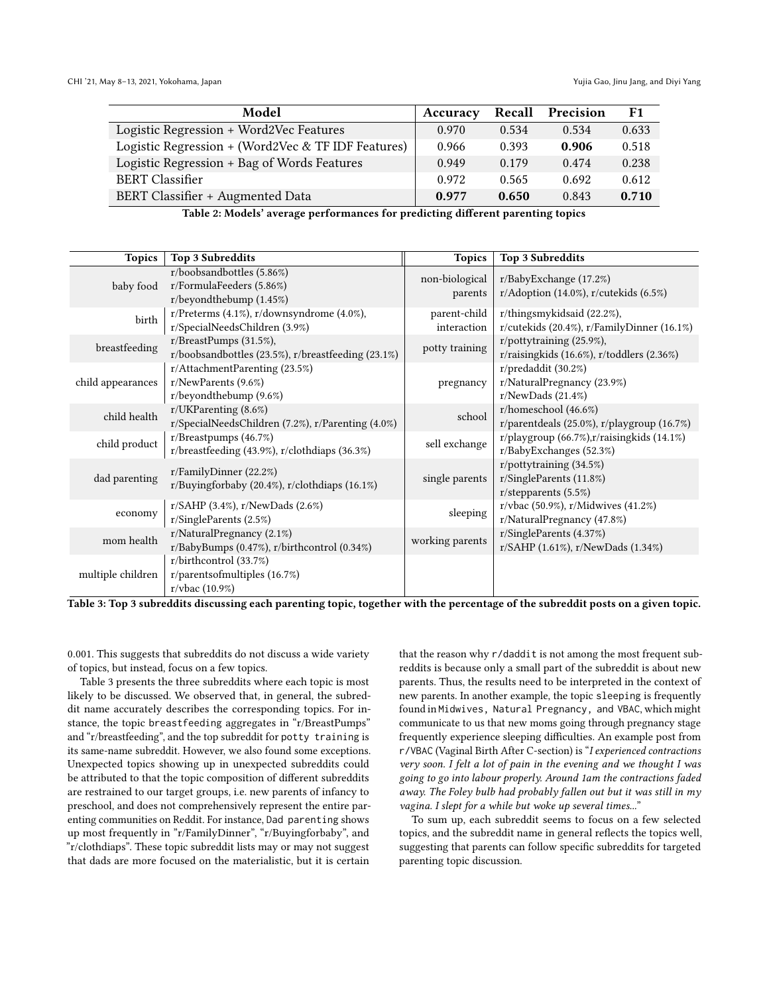<span id="page-5-0"></span>

| Model                                              | Accuracy | Recall | Precision | F1    |
|----------------------------------------------------|----------|--------|-----------|-------|
| Logistic Regression + Word2Vec Features            | 0.970    | 0.534  | 0.534     | 0.633 |
| Logistic Regression + (Word2Vec & TF IDF Features) | 0.966    | 0.393  | 0.906     | 0.518 |
| Logistic Regression + Bag of Words Features        | 0.949    | 0.179  | 0.474     | 0.238 |
| <b>BERT</b> Classifier                             | 0.972    | 0.565  | 0.692     | 0.612 |
| BERT Classifier + Augmented Data                   | 0.977    | 0.650  | 0.843     | 0.710 |

Table 2: Models' average performances for predicting different parenting topics

<span id="page-5-1"></span>

| <b>Topics</b>     | Top 3 Subreddits                                                                    | <b>Topics</b>               | Top 3 Subreddits                                                           |
|-------------------|-------------------------------------------------------------------------------------|-----------------------------|----------------------------------------------------------------------------|
| baby food         | r/boobsandbottles (5.86%)<br>r/FormulaFeeders (5.86%)<br>$r/b$ eyondthebump (1.45%) | non-biological<br>parents   | r/BabyExchange (17.2%)<br>r/Adoption (14.0%), r/cutekids (6.5%)            |
| birth             | r/Preterms (4.1%), r/downsyndrome (4.0%),<br>r/SpecialNeedsChildren (3.9%)          | parent-child<br>interaction | r/thingsmykidsaid (22.2%),<br>r/cutekids (20.4%), r/FamilyDinner (16.1%)   |
| breastfeeding     | r/BreastPumps (31.5%),<br>r/boobsandbottles (23.5%), r/breastfeeding (23.1%)        | potty training              | r/pottytraining (25.9%),<br>r/raisingkids (16.6%), r/toddlers (2.36%)      |
| child appearances | r/AttachmentParenting (23.5%)<br>r/NewParents (9.6%)<br>r/beyondthebump (9.6%)      | pregnancy                   | r/predaddit (30.2%)<br>r/NaturalPregnancy (23.9%)<br>r/NewDads (21.4%)     |
| child health      | r/UKParenting (8.6%)<br>r/SpecialNeedsChildren (7.2%), r/Parenting (4.0%)           | school                      | r/homeschool (46.6%)<br>r/parentdeals (25.0%), r/playgroup (16.7%)         |
| child product     | r/Breastpumps (46.7%)<br>r/breastfeeding (43.9%), r/clothdiaps (36.3%)              | sell exchange               | r/playgroup (66.7%), r/raisingkids (14.1%)<br>r/BabyExchanges (52.3%)      |
| dad parenting     | r/FamilyDinner (22.2%)<br>r/Buyingforbaby (20.4%), r/clothdiaps (16.1%)             | single parents              | r/pottytraining (34.5%)<br>r/SingleParents (11.8%)<br>r/stepparents (5.5%) |
| economy           | $r/SAHP$ (3.4%), $r/NewDads$ (2.6%)<br>r/SingleParents (2.5%)                       | sleeping                    | r/vbac (50.9%), r/Midwives (41.2%)<br>r/NaturalPregnancy (47.8%)           |
| mom health        | r/NaturalPregnancy (2.1%)<br>r/BabyBumps (0.47%), r/birthcontrol (0.34%)            | working parents             | r/SingleParents (4.37%)<br>r/SAHP (1.61%), r/NewDads (1.34%)               |
| multiple children | r/birthcontrol (33.7%)<br>r/parentsofmultiples (16.7%)<br>$r/vbac$ (10.9%)          |                             |                                                                            |

Table 3: Top 3 subreddits discussing each parenting topic, together with the percentage of the subreddit posts on a given topic.

0.001. This suggests that subreddits do not discuss a wide variety of topics, but instead, focus on a few topics.

Table [3](#page-5-1) presents the three subreddits where each topic is most likely to be discussed. We observed that, in general, the subreddit name accurately describes the corresponding topics. For instance, the topic breastfeeding aggregates in "r/BreastPumps" and "r/breastfeeding", and the top subreddit for potty training is its same-name subreddit. However, we also found some exceptions. Unexpected topics showing up in unexpected subreddits could be attributed to that the topic composition of different subreddits are restrained to our target groups, i.e. new parents of infancy to preschool, and does not comprehensively represent the entire parenting communities on Reddit. For instance, Dad parenting shows up most frequently in "r/FamilyDinner", "r/Buyingforbaby", and "r/clothdiaps". These topic subreddit lists may or may not suggest that dads are more focused on the materialistic, but it is certain

that the reason why r/daddit is not among the most frequent subreddits is because only a small part of the subreddit is about new parents. Thus, the results need to be interpreted in the context of new parents. In another example, the topic sleeping is frequently found in Midwives, Natural Pregnancy, and VBAC, which might communicate to us that new moms going through pregnancy stage frequently experience sleeping difficulties. An example post from r/VBAC (Vaginal Birth After C-section) is "I experienced contractions very soon. I felt a lot of pain in the evening and we thought I was going to go into labour properly. Around 1am the contractions faded away. The Foley bulb had probably fallen out but it was still in my vagina. I slept for a while but woke up several times..."

To sum up, each subreddit seems to focus on a few selected topics, and the subreddit name in general reflects the topics well, suggesting that parents can follow specific subreddits for targeted parenting topic discussion.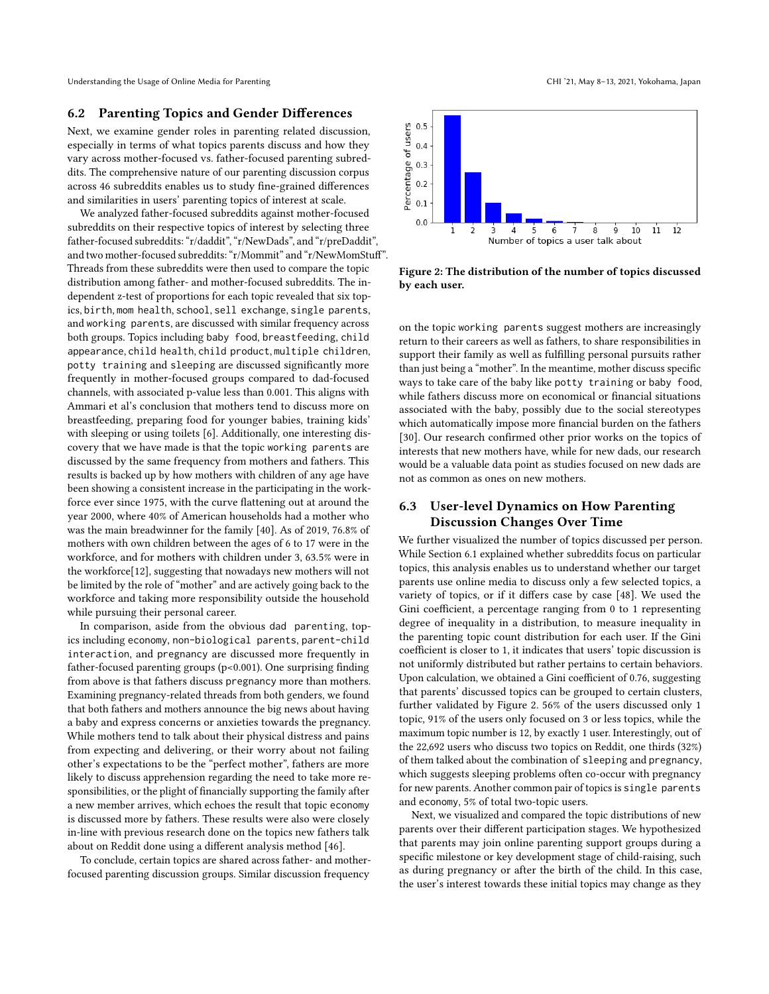#### 6.2 Parenting Topics and Gender Differences

Next, we examine gender roles in parenting related discussion, especially in terms of what topics parents discuss and how they vary across mother-focused vs. father-focused parenting subreddits. The comprehensive nature of our parenting discussion corpus across 46 subreddits enables us to study fine-grained differences and similarities in users' parenting topics of interest at scale.

We analyzed father-focused subreddits against mother-focused subreddits on their respective topics of interest by selecting three father-focused subreddits: "r/daddit", "r/NewDads", and "r/preDaddit", and two mother-focused subreddits: "r/Mommit" and "r/NewMomStuff". Threads from these subreddits were then used to compare the topic distribution among father- and mother-focused subreddits. The independent z-test of proportions for each topic revealed that six topics, birth, mom health, school, sell exchange, single parents, and working parents, are discussed with similar frequency across both groups. Topics including baby food, breastfeeding, child appearance, child health, child product, multiple children, potty training and sleeping are discussed significantly more frequently in mother-focused groups compared to dad-focused channels, with associated p-value less than 0.001. This aligns with Ammari et al's conclusion that mothers tend to discuss more on breastfeeding, preparing food for younger babies, training kids' with sleeping or using toilets [\[6\]](#page-10-11). Additionally, one interesting discovery that we have made is that the topic working parents are discussed by the same frequency from mothers and fathers. This results is backed up by how mothers with children of any age have been showing a consistent increase in the participating in the workforce ever since 1975, with the curve flattening out at around the year 2000, where 40% of American households had a mother who was the main breadwinner for the family [\[40\]](#page-10-37). As of 2019, 76.8% of mothers with own children between the ages of 6 to 17 were in the workforce, and for mothers with children under 3, 63.5% were in the workforce[\[12\]](#page-10-38), suggesting that nowadays new mothers will not be limited by the role of "mother" and are actively going back to the workforce and taking more responsibility outside the household while pursuing their personal career.

In comparison, aside from the obvious dad parenting, topics including economy, non-biological parents, parent-child interaction, and pregnancy are discussed more frequently in father-focused parenting groups (p<0.001). One surprising finding from above is that fathers discuss pregnancy more than mothers. Examining pregnancy-related threads from both genders, we found that both fathers and mothers announce the big news about having a baby and express concerns or anxieties towards the pregnancy. While mothers tend to talk about their physical distress and pains from expecting and delivering, or their worry about not failing other's expectations to be the "perfect mother", fathers are more likely to discuss apprehension regarding the need to take more responsibilities, or the plight of financially supporting the family after a new member arrives, which echoes the result that topic economy is discussed more by fathers. These results were also were closely in-line with previous research done on the topics new fathers talk about on Reddit done using a different analysis method [\[46\]](#page-10-39).

To conclude, certain topics are shared across father- and motherfocused parenting discussion groups. Similar discussion frequency

<span id="page-6-0"></span>

Figure 2: The distribution of the number of topics discussed by each user.

on the topic working parents suggest mothers are increasingly return to their careers as well as fathers, to share responsibilities in support their family as well as fulfilling personal pursuits rather than just being a "mother". In the meantime, mother discuss specific ways to take care of the baby like potty training or baby food, while fathers discuss more on economical or financial situations associated with the baby, possibly due to the social stereotypes which automatically impose more financial burden on the fathers [\[30\]](#page-10-40). Our research confirmed other prior works on the topics of interests that new mothers have, while for new dads, our research would be a valuable data point as studies focused on new dads are not as common as ones on new mothers.

# 6.3 User-level Dynamics on How Parenting Discussion Changes Over Time

We further visualized the number of topics discussed per person. While Section 6.1 explained whether subreddits focus on particular topics, this analysis enables us to understand whether our target parents use online media to discuss only a few selected topics, a variety of topics, or if it differs case by case [\[48\]](#page-10-41). We used the Gini coefficient, a percentage ranging from 0 to 1 representing degree of inequality in a distribution, to measure inequality in the parenting topic count distribution for each user. If the Gini coefficient is closer to 1, it indicates that users' topic discussion is not uniformly distributed but rather pertains to certain behaviors. Upon calculation, we obtained a Gini coefficient of 0.76, suggesting that parents' discussed topics can be grouped to certain clusters, further validated by Figure [2.](#page-6-0) 56% of the users discussed only 1 topic, 91% of the users only focused on 3 or less topics, while the maximum topic number is 12, by exactly 1 user. Interestingly, out of the 22,692 users who discuss two topics on Reddit, one thirds (32%) of them talked about the combination of sleeping and pregnancy, which suggests sleeping problems often co-occur with pregnancy for new parents. Another common pair of topics is single parents and economy, 5% of total two-topic users.

Next, we visualized and compared the topic distributions of new parents over their different participation stages. We hypothesized that parents may join online parenting support groups during a specific milestone or key development stage of child-raising, such as during pregnancy or after the birth of the child. In this case, the user's interest towards these initial topics may change as they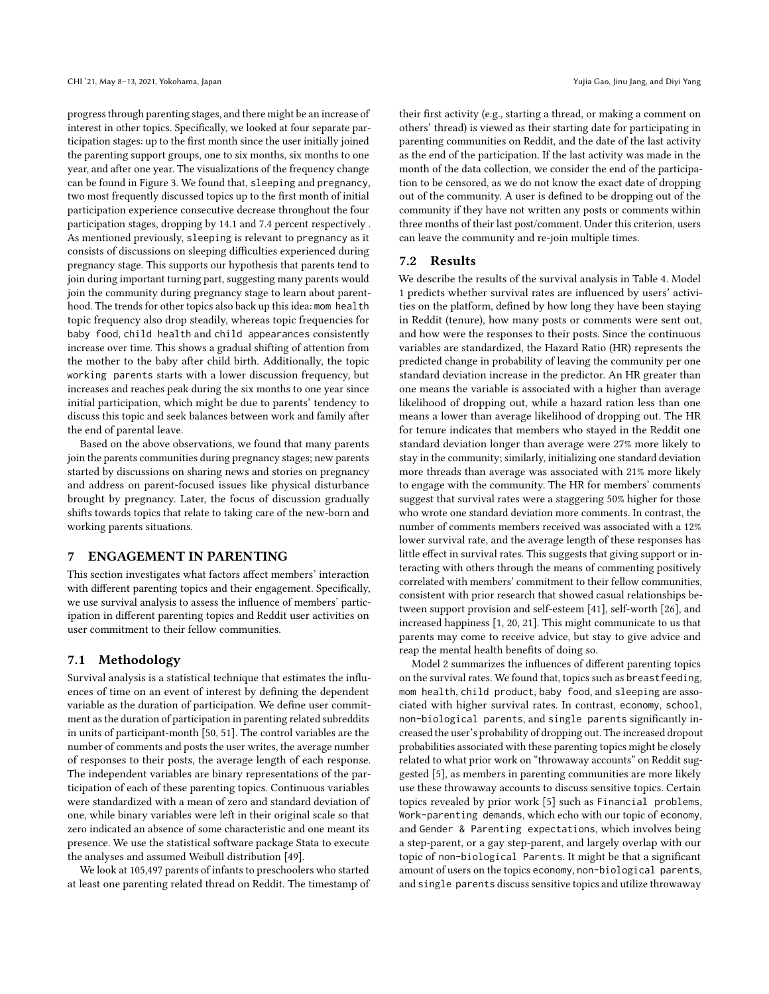progress through parenting stages, and there might be an increase of interest in other topics. Specifically, we looked at four separate participation stages: up to the first month since the user initially joined the parenting support groups, one to six months, six months to one year, and after one year. The visualizations of the frequency change can be found in Figure [3.](#page-8-0) We found that, sleeping and pregnancy, two most frequently discussed topics up to the first month of initial participation experience consecutive decrease throughout the four participation stages, dropping by 14.1 and 7.4 percent respectively . As mentioned previously, sleeping is relevant to pregnancy as it consists of discussions on sleeping difficulties experienced during pregnancy stage. This supports our hypothesis that parents tend to join during important turning part, suggesting many parents would join the community during pregnancy stage to learn about parenthood. The trends for other topics also back up this idea: mom health topic frequency also drop steadily, whereas topic frequencies for baby food, child health and child appearances consistently increase over time. This shows a gradual shifting of attention from the mother to the baby after child birth. Additionally, the topic working parents starts with a lower discussion frequency, but increases and reaches peak during the six months to one year since initial participation, which might be due to parents' tendency to discuss this topic and seek balances between work and family after the end of parental leave.

Based on the above observations, we found that many parents join the parents communities during pregnancy stages; new parents started by discussions on sharing news and stories on pregnancy and address on parent-focused issues like physical disturbance brought by pregnancy. Later, the focus of discussion gradually shifts towards topics that relate to taking care of the new-born and working parents situations.

#### 7 ENGAGEMENT IN PARENTING

This section investigates what factors affect members' interaction with different parenting topics and their engagement. Specifically, we use survival analysis to assess the influence of members' participation in different parenting topics and Reddit user activities on user commitment to their fellow communities.

#### 7.1 Methodology

Survival analysis is a statistical technique that estimates the influences of time on an event of interest by defining the dependent variable as the duration of participation. We define user commitment as the duration of participation in parenting related subreddits in units of participant-month [\[50,](#page-10-42) [51\]](#page-10-43). The control variables are the number of comments and posts the user writes, the average number of responses to their posts, the average length of each response. The independent variables are binary representations of the participation of each of these parenting topics. Continuous variables were standardized with a mean of zero and standard deviation of one, while binary variables were left in their original scale so that zero indicated an absence of some characteristic and one meant its presence. We use the statistical software package Stata to execute the analyses and assumed Weibull distribution [\[49\]](#page-10-44).

We look at 105,497 parents of infants to preschoolers who started at least one parenting related thread on Reddit. The timestamp of their first activity (e.g., starting a thread, or making a comment on others' thread) is viewed as their starting date for participating in parenting communities on Reddit, and the date of the last activity as the end of the participation. If the last activity was made in the month of the data collection, we consider the end of the participation to be censored, as we do not know the exact date of dropping out of the community. A user is defined to be dropping out of the community if they have not written any posts or comments within three months of their last post/comment. Under this criterion, users can leave the community and re-join multiple times.

#### 7.2 Results

We describe the results of the survival analysis in Table [4.](#page-8-1) Model 1 predicts whether survival rates are influenced by users' activities on the platform, defined by how long they have been staying in Reddit (tenure), how many posts or comments were sent out, and how were the responses to their posts. Since the continuous variables are standardized, the Hazard Ratio (HR) represents the predicted change in probability of leaving the community per one standard deviation increase in the predictor. An HR greater than one means the variable is associated with a higher than average likelihood of dropping out, while a hazard ration less than one means a lower than average likelihood of dropping out. The HR for tenure indicates that members who stayed in the Reddit one standard deviation longer than average were 27% more likely to stay in the community; similarly, initializing one standard deviation more threads than average was associated with 21% more likely to engage with the community. The HR for members' comments suggest that survival rates were a staggering 50% higher for those who wrote one standard deviation more comments. In contrast, the number of comments members received was associated with a 12% lower survival rate, and the average length of these responses has little effect in survival rates. This suggests that giving support or interacting with others through the means of commenting positively correlated with members' commitment to their fellow communities, consistent with prior research that showed casual relationships between support provision and self-esteem [\[41\]](#page-10-45), self-worth [\[26\]](#page-10-46), and increased happiness [\[1,](#page-9-2) [20,](#page-10-47) [21\]](#page-10-48). This might communicate to us that parents may come to receive advice, but stay to give advice and reap the mental health benefits of doing so.

Model 2 summarizes the influences of different parenting topics on the survival rates. We found that, topics such as breastfeeding, mom health, child product, baby food, and sleeping are associated with higher survival rates. In contrast, economy, school, non-biological parents, and single parents significantly increased the user's probability of dropping out. The increased dropout probabilities associated with these parenting topics might be closely related to what prior work on "throwaway accounts" on Reddit suggested [\[5\]](#page-10-28), as members in parenting communities are more likely use these throwaway accounts to discuss sensitive topics. Certain topics revealed by prior work [\[5\]](#page-10-28) such as Financial problems, Work-parenting demands, which echo with our topic of economy, and Gender & Parenting expectations, which involves being a step-parent, or a gay step-parent, and largely overlap with our topic of non-biological Parents. It might be that a significant amount of users on the topics economy, non-biological parents, and single parents discuss sensitive topics and utilize throwaway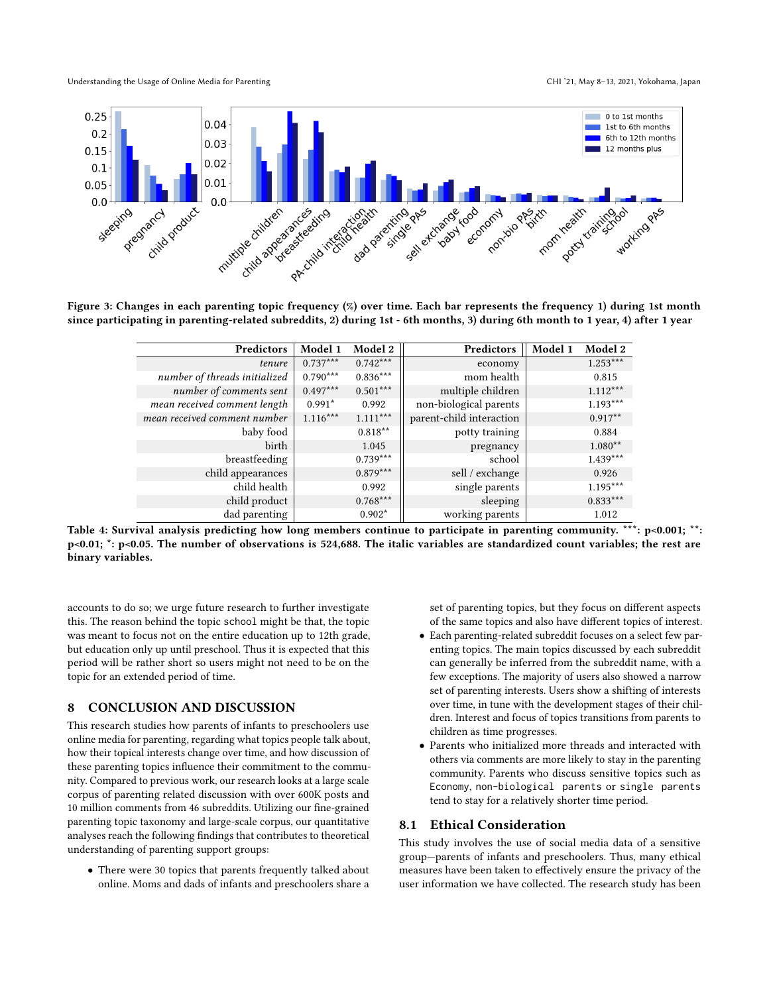<span id="page-8-0"></span>

<span id="page-8-1"></span>since participating in parenting-related subreddits, 2) during 1st - 6th months, 3) during 6th month to 1 year, 4) after 1 year

| Predictors                    | Model 1    | Model 2    | Predictors               | Model 1 | Model 2    |
|-------------------------------|------------|------------|--------------------------|---------|------------|
| tenure                        | $0.737***$ | $0.742***$ | economy                  |         | $1.253***$ |
| number of threads initialized | $0.790***$ | $0.836***$ | mom health               |         | 0.815      |
| number of comments sent       | $0.497***$ | $0.501***$ | multiple children        |         | $1.112***$ |
| mean received comment length  | $0.991*$   | 0.992      | non-biological parents   |         | $1.193***$ |
| mean received comment number  | $1.116***$ | $1.111***$ | parent-child interaction |         | $0.917**$  |
| baby food                     |            | $0.818**$  | potty training           |         | 0.884      |
| birth                         |            | 1.045      | pregnancy                |         | $1.080**$  |
| breastfeeding                 |            | $0.739***$ | school                   |         | $1.439***$ |
| child appearances             |            | $0.879***$ | sell / exchange          |         | 0.926      |
| child health                  |            | 0.992      | single parents           |         | $1.195***$ |
| child product                 |            | $0.768***$ | sleeping                 |         | $0.833***$ |
| dad parenting                 |            | $0.902*$   | working parents          |         | 1.012      |

Table 4: Survival analysis predicting how long members continue to participate in parenting community. \*\*\*: p<0.001; \*\*: p<0.01; \*: p<0.05. The number of observations is 524,688. The italic variables are standardized count variables; the rest are binary variables.

accounts to do so; we urge future research to further investigate this. The reason behind the topic school might be that, the topic was meant to focus not on the entire education up to 12th grade, but education only up until preschool. Thus it is expected that this period will be rather short so users might not need to be on the topic for an extended period of time.

## 8 CONCLUSION AND DISCUSSION

This research studies how parents of infants to preschoolers use online media for parenting, regarding what topics people talk about, how their topical interests change over time, and how discussion of these parenting topics influence their commitment to the community. Compared to previous work, our research looks at a large scale corpus of parenting related discussion with over 600K posts and 10 million comments from 46 subreddits. Utilizing our fine-grained parenting topic taxonomy and large-scale corpus, our quantitative analyses reach the following findings that contributes to theoretical understanding of parenting support groups:

• There were 30 topics that parents frequently talked about online. Moms and dads of infants and preschoolers share a set of parenting topics, but they focus on different aspects of the same topics and also have different topics of interest.

- Each parenting-related subreddit focuses on a select few parenting topics. The main topics discussed by each subreddit can generally be inferred from the subreddit name, with a few exceptions. The majority of users also showed a narrow set of parenting interests. Users show a shifting of interests over time, in tune with the development stages of their children. Interest and focus of topics transitions from parents to children as time progresses.
- Parents who initialized more threads and interacted with others via comments are more likely to stay in the parenting community. Parents who discuss sensitive topics such as Economy, non-biological parents or single parents tend to stay for a relatively shorter time period.

## 8.1 Ethical Consideration

This study involves the use of social media data of a sensitive group—parents of infants and preschoolers. Thus, many ethical measures have been taken to effectively ensure the privacy of the user information we have collected. The research study has been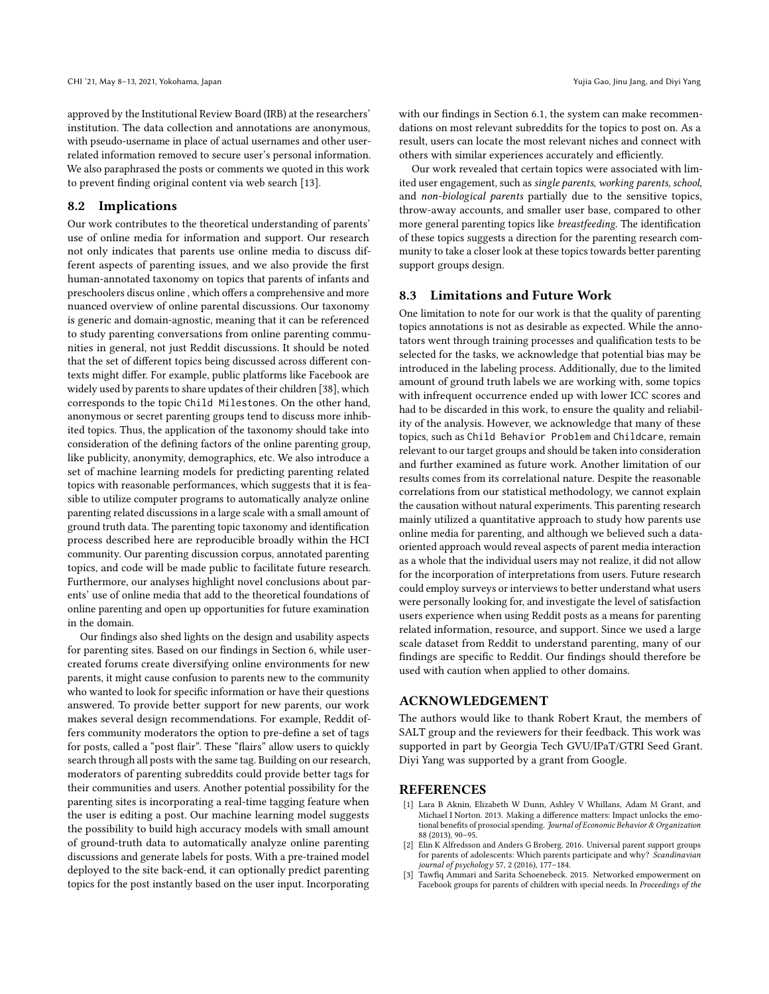approved by the Institutional Review Board (IRB) at the researchers' institution. The data collection and annotations are anonymous, with pseudo-username in place of actual usernames and other userrelated information removed to secure user's personal information. We also paraphrased the posts or comments we quoted in this work to prevent finding original content via web search [\[13\]](#page-10-49).

## 8.2 Implications

Our work contributes to the theoretical understanding of parents' use of online media for information and support. Our research not only indicates that parents use online media to discuss different aspects of parenting issues, and we also provide the first human-annotated taxonomy on topics that parents of infants and preschoolers discus online , which offers a comprehensive and more nuanced overview of online parental discussions. Our taxonomy is generic and domain-agnostic, meaning that it can be referenced to study parenting conversations from online parenting communities in general, not just Reddit discussions. It should be noted that the set of different topics being discussed across different contexts might differ. For example, public platforms like Facebook are widely used by parents to share updates of their children [\[38\]](#page-10-16), which corresponds to the topic Child Milestones. On the other hand, anonymous or secret parenting groups tend to discuss more inhibited topics. Thus, the application of the taxonomy should take into consideration of the defining factors of the online parenting group, like publicity, anonymity, demographics, etc. We also introduce a set of machine learning models for predicting parenting related topics with reasonable performances, which suggests that it is feasible to utilize computer programs to automatically analyze online parenting related discussions in a large scale with a small amount of ground truth data. The parenting topic taxonomy and identification process described here are reproducible broadly within the HCI community. Our parenting discussion corpus, annotated parenting topics, and code will be made public to facilitate future research. Furthermore, our analyses highlight novel conclusions about parents' use of online media that add to the theoretical foundations of online parenting and open up opportunities for future examination in the domain.

Our findings also shed lights on the design and usability aspects for parenting sites. Based on our findings in Section 6, while usercreated forums create diversifying online environments for new parents, it might cause confusion to parents new to the community who wanted to look for specific information or have their questions answered. To provide better support for new parents, our work makes several design recommendations. For example, Reddit offers community moderators the option to pre-define a set of tags for posts, called a "post flair". These "flairs" allow users to quickly search through all posts with the same tag. Building on our research, moderators of parenting subreddits could provide better tags for their communities and users. Another potential possibility for the parenting sites is incorporating a real-time tagging feature when the user is editing a post. Our machine learning model suggests the possibility to build high accuracy models with small amount of ground-truth data to automatically analyze online parenting discussions and generate labels for posts. With a pre-trained model deployed to the site back-end, it can optionally predict parenting topics for the post instantly based on the user input. Incorporating

with our findings in Section 6.1, the system can make recommendations on most relevant subreddits for the topics to post on. As a result, users can locate the most relevant niches and connect with others with similar experiences accurately and efficiently.

Our work revealed that certain topics were associated with limited user engagement, such as single parents, working parents, school, and non-biological parents partially due to the sensitive topics, throw-away accounts, and smaller user base, compared to other more general parenting topics like breastfeeding. The identification of these topics suggests a direction for the parenting research community to take a closer look at these topics towards better parenting support groups design.

## 8.3 Limitations and Future Work

One limitation to note for our work is that the quality of parenting topics annotations is not as desirable as expected. While the annotators went through training processes and qualification tests to be selected for the tasks, we acknowledge that potential bias may be introduced in the labeling process. Additionally, due to the limited amount of ground truth labels we are working with, some topics with infrequent occurrence ended up with lower ICC scores and had to be discarded in this work, to ensure the quality and reliability of the analysis. However, we acknowledge that many of these topics, such as Child Behavior Problem and Childcare, remain relevant to our target groups and should be taken into consideration and further examined as future work. Another limitation of our results comes from its correlational nature. Despite the reasonable correlations from our statistical methodology, we cannot explain the causation without natural experiments. This parenting research mainly utilized a quantitative approach to study how parents use online media for parenting, and although we believed such a dataoriented approach would reveal aspects of parent media interaction as a whole that the individual users may not realize, it did not allow for the incorporation of interpretations from users. Future research could employ surveys or interviews to better understand what users were personally looking for, and investigate the level of satisfaction users experience when using Reddit posts as a means for parenting related information, resource, and support. Since we used a large scale dataset from Reddit to understand parenting, many of our findings are specific to Reddit. Our findings should therefore be used with caution when applied to other domains.

#### ACKNOWLEDGEMENT

The authors would like to thank Robert Kraut, the members of SALT group and the reviewers for their feedback. This work was supported in part by Georgia Tech GVU/IPaT/GTRI Seed Grant. Diyi Yang was supported by a grant from Google.

#### **REFERENCES**

- <span id="page-9-2"></span>[1] Lara B Aknin, Elizabeth W Dunn, Ashley V Whillans, Adam M Grant, and Michael I Norton. 2013. Making a difference matters: Impact unlocks the emotional benefits of prosocial spending. Journal of Economic Behavior & Organization 88 (2013), 90–95.
- <span id="page-9-0"></span>[2] Elin K Alfredsson and Anders G Broberg. 2016. Universal parent support groups for parents of adolescents: Which parents participate and why? Scandinavian journal of psychology 57, 2 (2016), 177–184.
- <span id="page-9-1"></span>[3] Tawfiq Ammari and Sarita Schoenebeck. 2015. Networked empowerment on Facebook groups for parents of children with special needs. In Proceedings of the